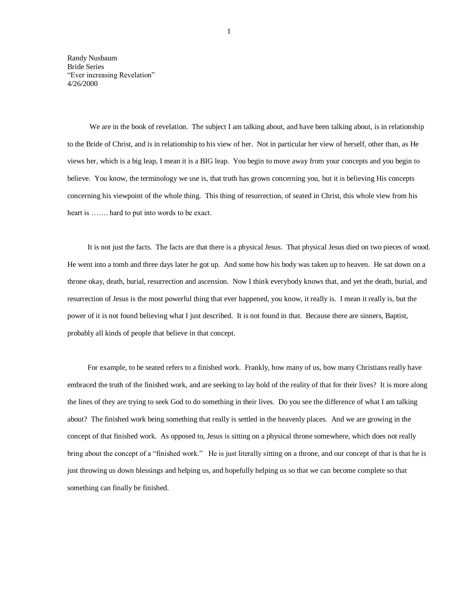Randy Nusbaum Bride Series "Ever increasing Revelation" 4/26/2000

We are in the book of revelation. The subject I am talking about, and have been talking about, is in relationship to the Bride of Christ, and is in relationship to his view of her. Not in particular her view of herself, other than, as He views her, which is a big leap, I mean it is a BIG leap. You begin to move away from your concepts and you begin to believe. You know, the terminology we use is, that truth has grown concerning you, but it is believing His concepts concerning his viewpoint of the whole thing. This thing of resurrection, of seated in Christ, this whole view from his heart is ……. hard to put into words to be exact.

It is not just the facts. The facts are that there is a physical Jesus. That physical Jesus died on two pieces of wood. He went into a tomb and three days later he got up. And some how his body was taken up to heaven. He sat down on a throne okay, death, burial, resurrection and ascension. Now I think everybody knows that, and yet the death, burial, and resurrection of Jesus is the most powerful thing that ever happened, you know, it really is. I mean it really is, but the power of it is not found believing what I just described. It is not found in that. Because there are sinners, Baptist, probably all kinds of people that believe in that concept.

For example, to be seated refers to a finished work. Frankly, how many of us, how many Christians really have embraced the truth of the finished work, and are seeking to lay hold of the reality of that for their lives? It is more along the lines of they are trying to seek God to do something in their lives. Do you see the difference of what I am talking about? The finished work being something that really is settled in the heavenly places. And we are growing in the concept of that finished work. As opposed to, Jesus is sitting on a physical throne somewhere, which does not really bring about the concept of a "finished work." He is just literally sitting on a throne, and our concept of that is that he is just throwing us down blessings and helping us, and hopefully helping us so that we can become complete so that something can finally be finished.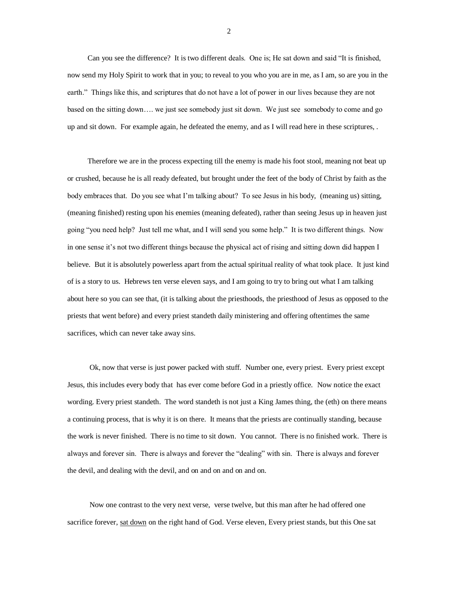Can you see the difference? It is two different deals. One is; He sat down and said "It is finished, now send my Holy Spirit to work that in you; to reveal to you who you are in me, as I am, so are you in the earth." Things like this, and scriptures that do not have a lot of power in our lives because they are not based on the sitting down…. we just see somebody just sit down. We just see somebody to come and go up and sit down. For example again, he defeated the enemy, and as I will read here in these scriptures, .

Therefore we are in the process expecting till the enemy is made his foot stool, meaning not beat up or crushed, because he is all ready defeated, but brought under the feet of the body of Christ by faith as the body embraces that. Do you see what I'm talking about? To see Jesus in his body, (meaning us) sitting, (meaning finished) resting upon his enemies (meaning defeated), rather than seeing Jesus up in heaven just going "you need help? Just tell me what, and I will send you some help." It is two different things. Now in one sense it's not two different things because the physical act of rising and sitting down did happen I believe. But it is absolutely powerless apart from the actual spiritual reality of what took place. It just kind of is a story to us. Hebrews ten verse eleven says, and I am going to try to bring out what I am talking about here so you can see that, (it is talking about the priesthoods, the priesthood of Jesus as opposed to the priests that went before) and every priest standeth daily ministering and offering oftentimes the same sacrifices, which can never take away sins.

Ok, now that verse is just power packed with stuff. Number one, every priest. Every priest except Jesus, this includes every body that has ever come before God in a priestly office. Now notice the exact wording. Every priest standeth. The word standeth is not just a King James thing, the (eth) on there means a continuing process, that is why it is on there. It means that the priests are continually standing, because the work is never finished. There is no time to sit down. You cannot. There is no finished work. There is always and forever sin. There is always and forever the "dealing" with sin. There is always and forever the devil, and dealing with the devil, and on and on and on and on.

Now one contrast to the very next verse, verse twelve, but this man after he had offered one sacrifice forever, sat down on the right hand of God. Verse eleven, Every priest stands, but this One sat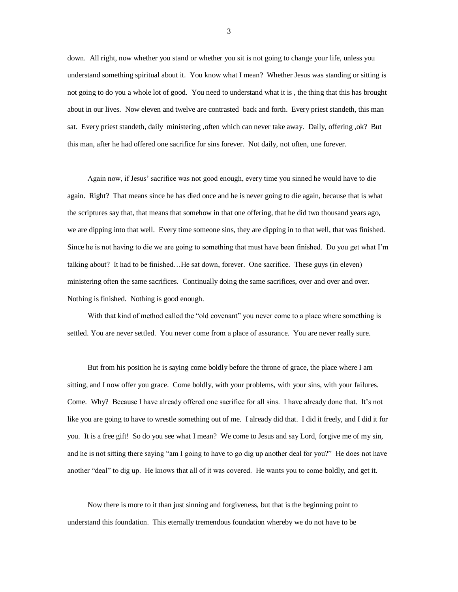down. All right, now whether you stand or whether you sit is not going to change your life, unless you understand something spiritual about it. You know what I mean? Whether Jesus was standing or sitting is not going to do you a whole lot of good. You need to understand what it is , the thing that this has brought about in our lives. Now eleven and twelve are contrasted back and forth. Every priest standeth, this man sat. Every priest standeth, daily ministering ,often which can never take away. Daily, offering ,ok? But this man, after he had offered one sacrifice for sins forever. Not daily, not often, one forever.

Again now, if Jesus' sacrifice was not good enough, every time you sinned he would have to die again. Right? That means since he has died once and he is never going to die again, because that is what the scriptures say that, that means that somehow in that one offering, that he did two thousand years ago, we are dipping into that well. Every time someone sins, they are dipping in to that well, that was finished. Since he is not having to die we are going to something that must have been finished. Do you get what I'm talking about? It had to be finished…He sat down, forever. One sacrifice. These guys (in eleven) ministering often the same sacrifices. Continually doing the same sacrifices, over and over and over. Nothing is finished. Nothing is good enough.

With that kind of method called the "old covenant" you never come to a place where something is settled. You are never settled. You never come from a place of assurance. You are never really sure.

But from his position he is saying come boldly before the throne of grace, the place where I am sitting, and I now offer you grace. Come boldly, with your problems, with your sins, with your failures. Come. Why? Because I have already offered one sacrifice for all sins. I have already done that. It's not like you are going to have to wrestle something out of me. I already did that. I did it freely, and I did it for you. It is a free gift! So do you see what I mean? We come to Jesus and say Lord, forgive me of my sin, and he is not sitting there saying "am I going to have to go dig up another deal for you?" He does not have another "deal" to dig up. He knows that all of it was covered. He wants you to come boldly, and get it.

Now there is more to it than just sinning and forgiveness, but that is the beginning point to understand this foundation. This eternally tremendous foundation whereby we do not have to be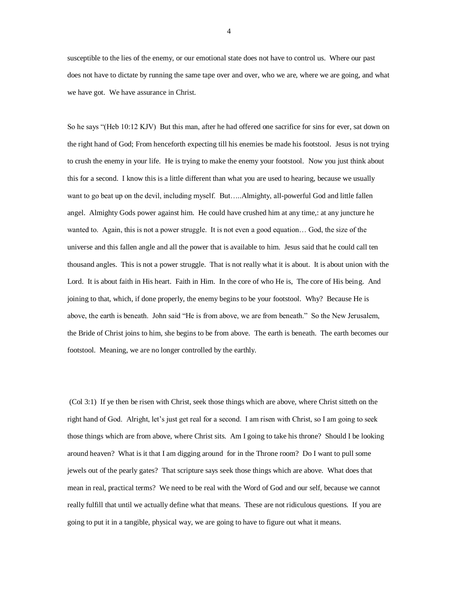susceptible to the lies of the enemy, or our emotional state does not have to control us. Where our past does not have to dictate by running the same tape over and over, who we are, where we are going, and what we have got. We have assurance in Christ.

So he says "(Heb 10:12 KJV) But this man, after he had offered one sacrifice for sins for ever, sat down on the right hand of God; From henceforth expecting till his enemies be made his footstool. Jesus is not trying to crush the enemy in your life. He is trying to make the enemy your footstool. Now you just think about this for a second. I know this is a little different than what you are used to hearing, because we usually want to go beat up on the devil, including myself. But.....Almighty, all-powerful God and little fallen angel. Almighty Gods power against him. He could have crushed him at any time,: at any juncture he wanted to. Again, this is not a power struggle. It is not even a good equation… God, the size of the universe and this fallen angle and all the power that is available to him. Jesus said that he could call ten thousand angles. This is not a power struggle. That is not really what it is about. It is about union with the Lord. It is about faith in His heart. Faith in Him. In the core of who He is, The core of His being. And joining to that, which, if done properly, the enemy begins to be your footstool. Why? Because He is above, the earth is beneath. John said "He is from above, we are from beneath." So the New Jerusalem, the Bride of Christ joins to him, she begins to be from above. The earth is beneath. The earth becomes our footstool. Meaning, we are no longer controlled by the earthly.

(Col 3:1) If ye then be risen with Christ, seek those things which are above, where Christ sitteth on the right hand of God. Alright, let's just get real for a second. I am risen with Christ, so I am going to seek those things which are from above, where Christ sits. Am I going to take his throne? Should I be looking around heaven? What is it that I am digging around for in the Throne room? Do I want to pull some jewels out of the pearly gates? That scripture says seek those things which are above. What does that mean in real, practical terms? We need to be real with the Word of God and our self, because we cannot really fulfill that until we actually define what that means. These are not ridiculous questions. If you are going to put it in a tangible, physical way, we are going to have to figure out what it means.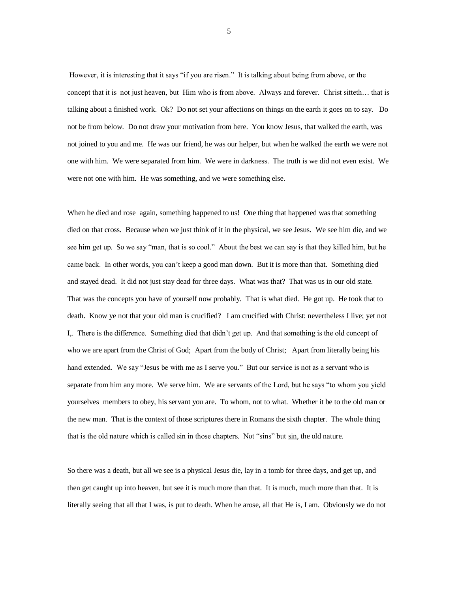However, it is interesting that it says "if you are risen." It is talking about being from above, or the concept that it is not just heaven, but Him who is from above. Always and forever. Christ sitteth… that is talking about a finished work. Ok? Do not set your affections on things on the earth it goes on to say. Do not be from below. Do not draw your motivation from here. You know Jesus, that walked the earth, was not joined to you and me. He was our friend, he was our helper, but when he walked the earth we were not one with him. We were separated from him. We were in darkness. The truth is we did not even exist. We were not one with him. He was something, and we were something else.

When he died and rose again, something happened to us! One thing that happened was that something died on that cross. Because when we just think of it in the physical, we see Jesus. We see him die, and we see him get up. So we say "man, that is so cool." About the best we can say is that they killed him, but he came back. In other words, you can't keep a good man down. But it is more than that. Something died and stayed dead. It did not just stay dead for three days. What was that? That was us in our old state. That was the concepts you have of yourself now probably. That is what died. He got up. He took that to death. Know ye not that your old man is crucified? I am crucified with Christ: nevertheless I live; yet not I,. There is the difference. Something died that didn't get up. And that something is the old concept of who we are apart from the Christ of God; Apart from the body of Christ; Apart from literally being his hand extended. We say "Jesus be with me as I serve you." But our service is not as a servant who is separate from him any more. We serve him. We are servants of the Lord, but he says "to whom you yield yourselves members to obey, his servant you are. To whom, not to what. Whether it be to the old man or the new man. That is the context of those scriptures there in Romans the sixth chapter. The whole thing that is the old nature which is called sin in those chapters. Not "sins" but sin, the old nature.

So there was a death, but all we see is a physical Jesus die, lay in a tomb for three days, and get up, and then get caught up into heaven, but see it is much more than that. It is much, much more than that. It is literally seeing that all that I was, is put to death. When he arose, all that He is, I am. Obviously we do not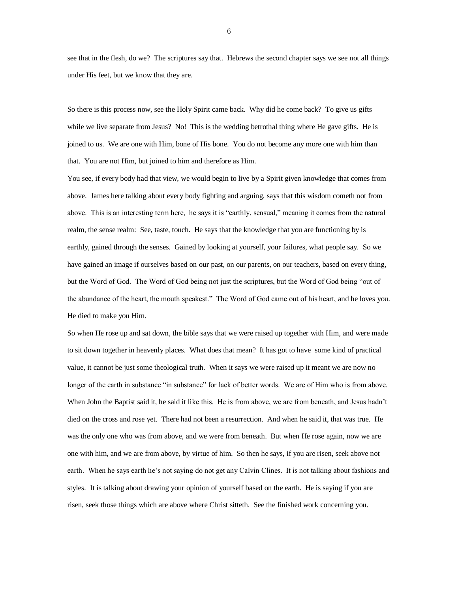see that in the flesh, do we? The scriptures say that. Hebrews the second chapter says we see not all things under His feet, but we know that they are.

So there is this process now, see the Holy Spirit came back. Why did he come back? To give us gifts while we live separate from Jesus? No! This is the wedding betrothal thing where He gave gifts. He is joined to us. We are one with Him, bone of His bone. You do not become any more one with him than that. You are not Him, but joined to him and therefore as Him.

You see, if every body had that view, we would begin to live by a Spirit given knowledge that comes from above. James here talking about every body fighting and arguing, says that this wisdom cometh not from above. This is an interesting term here, he says it is "earthly, sensual," meaning it comes from the natural realm, the sense realm: See, taste, touch. He says that the knowledge that you are functioning by is earthly, gained through the senses. Gained by looking at yourself, your failures, what people say. So we have gained an image if ourselves based on our past, on our parents, on our teachers, based on every thing, but the Word of God. The Word of God being not just the scriptures, but the Word of God being "out of the abundance of the heart, the mouth speakest." The Word of God came out of his heart, and he loves you. He died to make you Him.

So when He rose up and sat down, the bible says that we were raised up together with Him, and were made to sit down together in heavenly places. What does that mean? It has got to have some kind of practical value, it cannot be just some theological truth. When it says we were raised up it meant we are now no longer of the earth in substance "in substance" for lack of better words. We are of Him who is from above. When John the Baptist said it, he said it like this. He is from above, we are from beneath, and Jesus hadn't died on the cross and rose yet. There had not been a resurrection. And when he said it, that was true. He was the only one who was from above, and we were from beneath. But when He rose again, now we are one with him, and we are from above, by virtue of him. So then he says, if you are risen, seek above not earth. When he says earth he's not saying do not get any Calvin Clines. It is not talking about fashions and styles. It is talking about drawing your opinion of yourself based on the earth. He is saying if you are risen, seek those things which are above where Christ sitteth. See the finished work concerning you.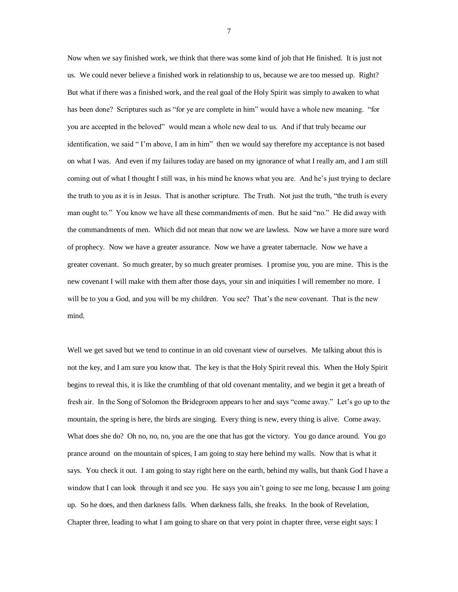Now when we say finished work, we think that there was some kind of job that He finished. It is just not us. We could never believe a finished work in relationship to us, because we are too messed up. Right? But what if there was a finished work, and the real goal of the Holy Spirit was simply to awaken to what has been done? Scriptures such as "for ye are complete in him" would have a whole new meaning. "for you are accepted in the beloved" would mean a whole new deal to us. And if that truly became our identification, we said " I'm above, I am in him" then we would say therefore my acceptance is not based on what I was. And even if my failures today are based on my ignorance of what I really am, and I am still coming out of what I thought I still was, in his mind he knows what you are. And he's just trying to declare the truth to you as it is in Jesus. That is another scripture. The Truth. Not just the truth, "the truth is every man ought to." You know we have all these commandments of men. But he said "no." He did away with the commandments of men. Which did not mean that now we are lawless. Now we have a more sure word of prophecy. Now we have a greater assurance. Now we have a greater tabernacle. Now we have a greater covenant. So much greater, by so much greater promises. I promise you, you are mine. This is the new covenant I will make with them after those days, your sin and iniquities I will remember no more. I will be to you a God, and you will be my children. You see? That's the new covenant. That is the new mind.

Well we get saved but we tend to continue in an old covenant view of ourselves. Me talking about this is not the key, and I am sure you know that. The key is that the Holy Spirit reveal this. When the Holy Spirit begins to reveal this, it is like the crumbling of that old covenant mentality, and we begin it get a breath of fresh air. In the Song of Solomon the Bridegroom appears to her and says "come away." Let's go up to the mountain, the spring is here, the birds are singing. Every thing is new, every thing is alive. Come away. What does she do? Oh no, no, no, you are the one that has got the victory. You go dance around. You go prance around on the mountain of spices, I am going to stay here behind my walls. Now that is what it says. You check it out. I am going to stay right here on the earth, behind my walls, but thank God I have a window that I can look through it and see you. He says you ain't going to see me long, because I am going up. So he does, and then darkness falls. When darkness falls, she freaks. In the book of Revelation, Chapter three, leading to what I am going to share on that very point in chapter three, verse eight says: I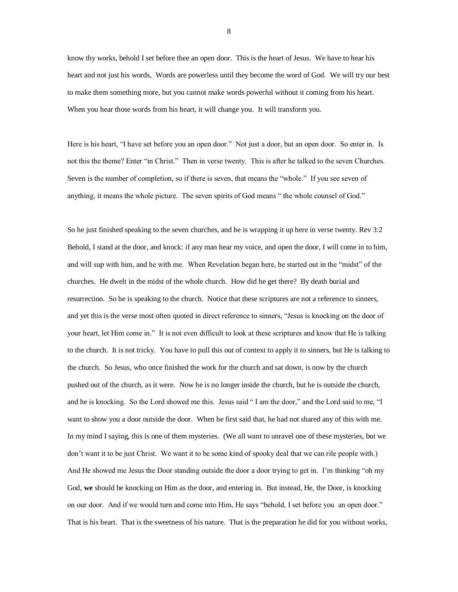know thy works, behold I set before thee an open door. This is the heart of Jesus. We have to hear his heart and not just his words, Words are powerless until they become the word of God. We will try our best to make them something more, but you cannot make words powerful without it coming from his heart. When you hear those words from his heart, it will change you. It will transform you.

Here is his heart, "I have set before you an open door." Not just a door, but an open door. So enter in. Is not this the theme? Enter "in Christ." Then in verse twenty. This is after he talked to the seven Churches. Seven is the number of completion, so if there is seven, that means the "whole." If you see seven of anything, it means the whole picture. The seven spirits of God means " the whole counsel of God."

So he just finished speaking to the seven churches, and he is wrapping it up here in verse twenty. Rev 3:2 Behold, I stand at the door, and knock: if any man hear my voice, and open the door, I will come in to him, and will sup with him, and he with me. When Revelation began here, he started out in the "midst" of the churches. He dwelt in the midst of the whole church. How did he get there? By death burial and resurrection. So he is speaking to the church. Notice that these scriptures are not a reference to sinners, and yet this is the verse most often quoted in direct reference to sinners, "Jesus is knocking on the door of your heart, let Him come in." It is not even difficult to look at these scriptures and know that He is talking to the church. It is not tricky. You have to pull this out of context to apply it to sinners, but He is talking to the church. So Jesus, who once finished the work for the church and sat down, is now by the church pushed out of the church, as it were. Now he is no longer inside the church, but he is outside the church, and he is knocking. So the Lord showed me this. Jesus said " I am the door," and the Lord said to me, "I want to show you a door outside the door. When he first said that, he had not shared any of this with me. In my mind I saying, this is one of them mysteries. (We all want to unravel one of these mysteries, but we don't want it to be just Christ. We want it to be some kind of spooky deal that we can rile people with.) And He showed me Jesus the Door standing outside the door a door trying to get in. I'm thinking "oh my God, **we** should be knocking on Him as the door, and entering in. But instead, He, the Door, is knocking on our door. And if we would turn and come into Him, He says "behold, I set before you an open door." That is his heart. That is the sweetness of his nature. That is the preparation he did for you without works,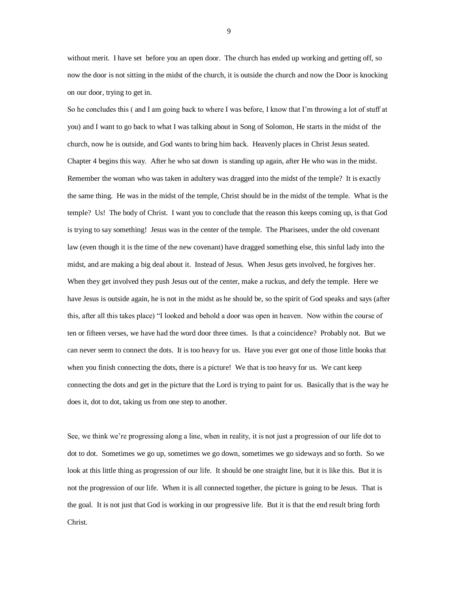without merit. I have set before you an open door. The church has ended up working and getting off, so now the door is not sitting in the midst of the church, it is outside the church and now the Door is knocking on our door, trying to get in.

So he concludes this ( and I am going back to where I was before, I know that I'm throwing a lot of stuff at you) and I want to go back to what I was talking about in Song of Solomon, He starts in the midst of the church, now he is outside, and God wants to bring him back. Heavenly places in Christ Jesus seated. Chapter 4 begins this way. After he who sat down is standing up again, after He who was in the midst. Remember the woman who was taken in adultery was dragged into the midst of the temple? It is exactly the same thing. He was in the midst of the temple, Christ should be in the midst of the temple. What is the temple? Us! The body of Christ. I want you to conclude that the reason this keeps coming up, is that God is trying to say something! Jesus was in the center of the temple. The Pharisees, under the old covenant law (even though it is the time of the new covenant) have dragged something else, this sinful lady into the midst, and are making a big deal about it. Instead of Jesus. When Jesus gets involved, he forgives her. When they get involved they push Jesus out of the center, make a ruckus, and defy the temple. Here we have Jesus is outside again, he is not in the midst as he should be, so the spirit of God speaks and says (after this, after all this takes place) "I looked and behold a door was open in heaven. Now within the course of ten or fifteen verses, we have had the word door three times. Is that a coincidence? Probably not. But we can never seem to connect the dots. It is too heavy for us. Have you ever got one of those little books that when you finish connecting the dots, there is a picture! We that is too heavy for us. We cant keep connecting the dots and get in the picture that the Lord is trying to paint for us. Basically that is the way he does it, dot to dot, taking us from one step to another.

See, we think we're progressing along a line, when in reality, it is not just a progression of our life dot to dot to dot. Sometimes we go up, sometimes we go down, sometimes we go sideways and so forth. So we look at this little thing as progression of our life. It should be one straight line, but it is like this. But it is not the progression of our life. When it is all connected together, the picture is going to be Jesus. That is the goal. It is not just that God is working in our progressive life. But it is that the end result bring forth Christ.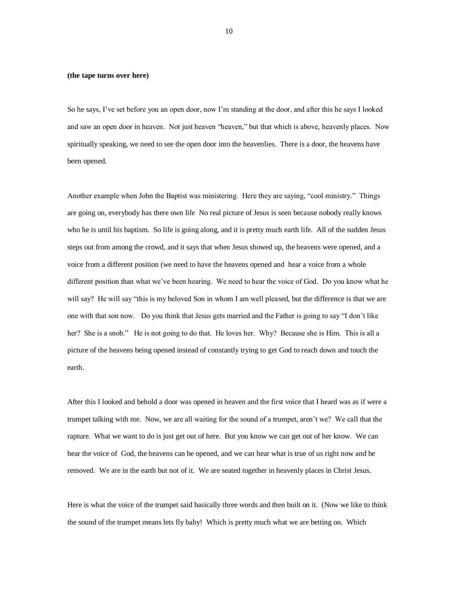## **(the tape turns over here)**

So he says, I've set before you an open door, now I'm standing at the door, and after this he says I looked and saw an open door in heaven. Not just heaven "heaven," but that which is above, heavenly places. Now spiritually speaking, we need to see the open door into the heavenlies. There is a door, the heavens have been opened.

Another example when John the Baptist was ministering. Here they are saying, "cool ministry." Things are going on, everybody has there own life No real picture of Jesus is seen because nobody really knows who he is until his baptism. So life is going along, and it is pretty much earth life. All of the sudden Jesus steps out from among the crowd, and it says that when Jesus showed up, the heavens were opened, and a voice from a different position (we need to have the heavens opened and hear a voice from a whole different position than what we've been hearing. We need to hear the voice of God. Do you know what he will say? He will say "this is my beloved Son in whom I am well pleased, but the difference is that we are one with that son now. Do you think that Jesus gets married and the Father is going to say "I don't like her? She is a snob." He is not going to do that. He loves her. Why? Because she is Him. This is all a picture of the heavens being opened instead of constantly trying to get God to reach down and touch the earth.

After this I looked and behold a door was opened in heaven and the first voice that I heard was as if were a trumpet talking with me. Now, we are all waiting for the sound of a trumpet, aren't we? We call that the rapture. What we want to do is just get out of here. But you know we can get out of her know. We can hear the voice of God, the heavens can be opened, and we can hear what is true of us right now and be removed. We are in the earth but not of it. We are seated together in heavenly places in Christ Jesus.

Here is what the voice of the trumpet said basically three words and then built on it. (Now we like to think the sound of the trumpet means lets fly baby! Which is pretty much what we are betting on. Which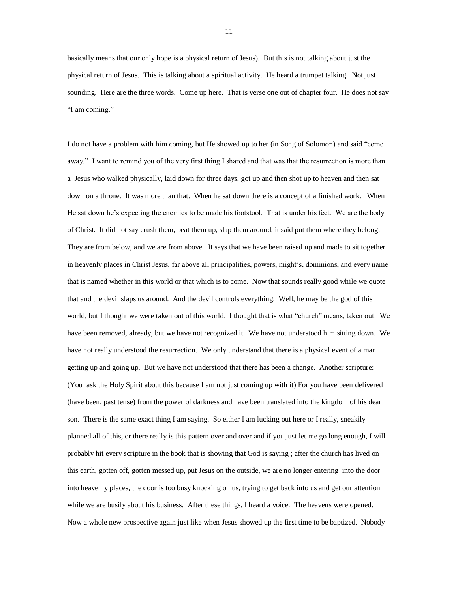basically means that our only hope is a physical return of Jesus). But this is not talking about just the physical return of Jesus. This is talking about a spiritual activity. He heard a trumpet talking. Not just sounding. Here are the three words. Come up here. That is verse one out of chapter four. He does not say "I am coming."

I do not have a problem with him coming, but He showed up to her (in Song of Solomon) and said "come away." I want to remind you of the very first thing I shared and that was that the resurrection is more than a Jesus who walked physically, laid down for three days, got up and then shot up to heaven and then sat down on a throne. It was more than that. When he sat down there is a concept of a finished work. When He sat down he's expecting the enemies to be made his footstool. That is under his feet. We are the body of Christ. It did not say crush them, beat them up, slap them around, it said put them where they belong. They are from below, and we are from above. It says that we have been raised up and made to sit together in heavenly places in Christ Jesus, far above all principalities, powers, might's, dominions, and every name that is named whether in this world or that which is to come. Now that sounds really good while we quote that and the devil slaps us around. And the devil controls everything. Well, he may be the god of this world, but I thought we were taken out of this world. I thought that is what "church" means, taken out. We have been removed, already, but we have not recognized it. We have not understood him sitting down. We have not really understood the resurrection. We only understand that there is a physical event of a man getting up and going up. But we have not understood that there has been a change. Another scripture: (You ask the Holy Spirit about this because I am not just coming up with it) For you have been delivered (have been, past tense) from the power of darkness and have been translated into the kingdom of his dear son. There is the same exact thing I am saying. So either I am lucking out here or I really, sneakily planned all of this, or there really is this pattern over and over and if you just let me go long enough, I will probably hit every scripture in the book that is showing that God is saying ; after the church has lived on this earth, gotten off, gotten messed up, put Jesus on the outside, we are no longer entering into the door into heavenly places, the door is too busy knocking on us, trying to get back into us and get our attention while we are busily about his business. After these things, I heard a voice. The heavens were opened. Now a whole new prospective again just like when Jesus showed up the first time to be baptized. Nobody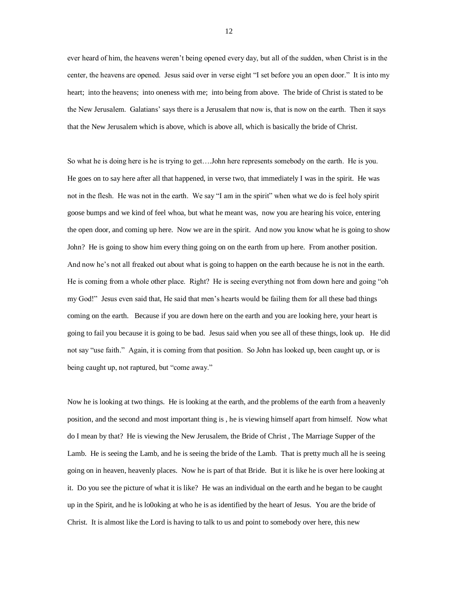ever heard of him, the heavens weren't being opened every day, but all of the sudden, when Christ is in the center, the heavens are opened. Jesus said over in verse eight "I set before you an open door." It is into my heart; into the heavens; into oneness with me; into being from above. The bride of Christ is stated to be the New Jerusalem. Galatians' says there is a Jerusalem that now is, that is now on the earth. Then it says that the New Jerusalem which is above, which is above all, which is basically the bride of Christ.

So what he is doing here is he is trying to get….John here represents somebody on the earth. He is you. He goes on to say here after all that happened, in verse two, that immediately I was in the spirit. He was not in the flesh. He was not in the earth. We say "I am in the spirit" when what we do is feel holy spirit goose bumps and we kind of feel whoa, but what he meant was, now you are hearing his voice, entering the open door, and coming up here. Now we are in the spirit. And now you know what he is going to show John? He is going to show him every thing going on on the earth from up here. From another position. And now he's not all freaked out about what is going to happen on the earth because he is not in the earth. He is coming from a whole other place. Right? He is seeing everything not from down here and going "oh my God!" Jesus even said that, He said that men's hearts would be failing them for all these bad things coming on the earth. Because if you are down here on the earth and you are looking here, your heart is going to fail you because it is going to be bad. Jesus said when you see all of these things, look up. He did not say "use faith." Again, it is coming from that position. So John has looked up, been caught up, or is being caught up, not raptured, but "come away."

Now he is looking at two things. He is looking at the earth, and the problems of the earth from a heavenly position, and the second and most important thing is , he is viewing himself apart from himself. Now what do I mean by that? He is viewing the New Jerusalem, the Bride of Christ , The Marriage Supper of the Lamb. He is seeing the Lamb, and he is seeing the bride of the Lamb. That is pretty much all he is seeing going on in heaven, heavenly places. Now he is part of that Bride. But it is like he is over here looking at it. Do you see the picture of what it is like? He was an individual on the earth and he began to be caught up in the Spirit, and he is lo0oking at who he is as identified by the heart of Jesus. You are the bride of Christ. It is almost like the Lord is having to talk to us and point to somebody over here, this new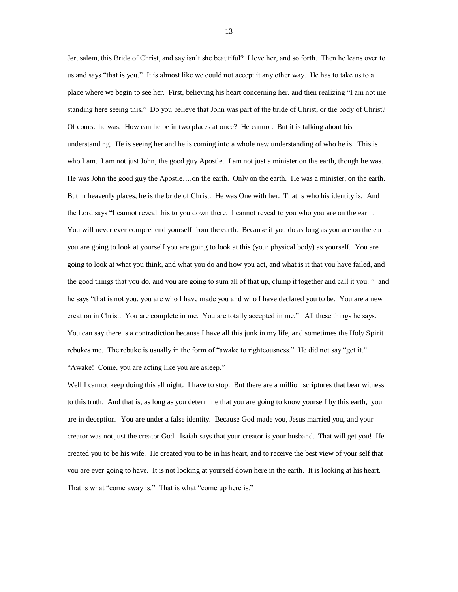Jerusalem, this Bride of Christ, and say isn't she beautiful? I love her, and so forth. Then he leans over to us and says "that is you." It is almost like we could not accept it any other way. He has to take us to a place where we begin to see her. First, believing his heart concerning her, and then realizing "I am not me standing here seeing this." Do you believe that John was part of the bride of Christ, or the body of Christ? Of course he was. How can he be in two places at once? He cannot. But it is talking about his understanding. He is seeing her and he is coming into a whole new understanding of who he is. This is who I am. I am not just John, the good guy Apostle. I am not just a minister on the earth, though he was. He was John the good guy the Apostle….on the earth. Only on the earth. He was a minister, on the earth. But in heavenly places, he is the bride of Christ. He was One with her. That is who his identity is. And the Lord says "I cannot reveal this to you down there. I cannot reveal to you who you are on the earth. You will never ever comprehend yourself from the earth. Because if you do as long as you are on the earth, you are going to look at yourself you are going to look at this (your physical body) as yourself. You are going to look at what you think, and what you do and how you act, and what is it that you have failed, and the good things that you do, and you are going to sum all of that up, clump it together and call it you. " and he says "that is not you, you are who I have made you and who I have declared you to be. You are a new creation in Christ. You are complete in me. You are totally accepted in me." All these things he says. You can say there is a contradiction because I have all this junk in my life, and sometimes the Holy Spirit rebukes me. The rebuke is usually in the form of "awake to righteousness." He did not say "get it." "Awake! Come, you are acting like you are asleep."

Well I cannot keep doing this all night. I have to stop. But there are a million scriptures that bear witness to this truth. And that is, as long as you determine that you are going to know yourself by this earth, you are in deception. You are under a false identity. Because God made you, Jesus married you, and your creator was not just the creator God. Isaiah says that your creator is your husband. That will get you! He created you to be his wife. He created you to be in his heart, and to receive the best view of your self that you are ever going to have. It is not looking at yourself down here in the earth. It is looking at his heart. That is what "come away is." That is what "come up here is."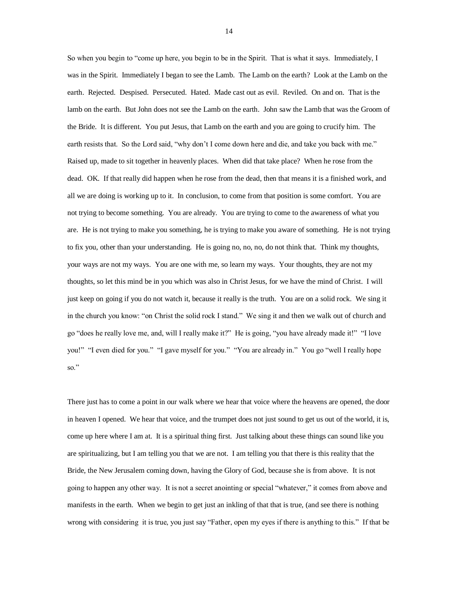So when you begin to "come up here, you begin to be in the Spirit. That is what it says. Immediately, I was in the Spirit. Immediately I began to see the Lamb. The Lamb on the earth? Look at the Lamb on the earth. Rejected. Despised. Persecuted. Hated. Made cast out as evil. Reviled. On and on. That is the lamb on the earth. But John does not see the Lamb on the earth. John saw the Lamb that was the Groom of the Bride. It is different. You put Jesus, that Lamb on the earth and you are going to crucify him. The earth resists that. So the Lord said, "why don't I come down here and die, and take you back with me." Raised up, made to sit together in heavenly places. When did that take place? When he rose from the dead. OK. If that really did happen when he rose from the dead, then that means it is a finished work, and all we are doing is working up to it. In conclusion, to come from that position is some comfort. You are not trying to become something. You are already. You are trying to come to the awareness of what you are. He is not trying to make you something, he is trying to make you aware of something. He is not trying to fix you, other than your understanding. He is going no, no, no, do not think that. Think my thoughts, your ways are not my ways. You are one with me, so learn my ways. Your thoughts, they are not my thoughts, so let this mind be in you which was also in Christ Jesus, for we have the mind of Christ. I will just keep on going if you do not watch it, because it really is the truth. You are on a solid rock. We sing it in the church you know: "on Christ the solid rock I stand." We sing it and then we walk out of church and go "does he really love me, and, will I really make it?" He is going, "you have already made it!" "I love you!" "I even died for you." "I gave myself for you." "You are already in." You go "well I really hope so."

There just has to come a point in our walk where we hear that voice where the heavens are opened, the door in heaven I opened. We hear that voice, and the trumpet does not just sound to get us out of the world, it is, come up here where I am at. It is a spiritual thing first. Just talking about these things can sound like you are spiritualizing, but I am telling you that we are not. I am telling you that there is this reality that the Bride, the New Jerusalem coming down, having the Glory of God, because she is from above. It is not going to happen any other way. It is not a secret anointing or special "whatever," it comes from above and manifests in the earth. When we begin to get just an inkling of that that is true, (and see there is nothing wrong with considering it is true, you just say "Father, open my eyes if there is anything to this." If that be